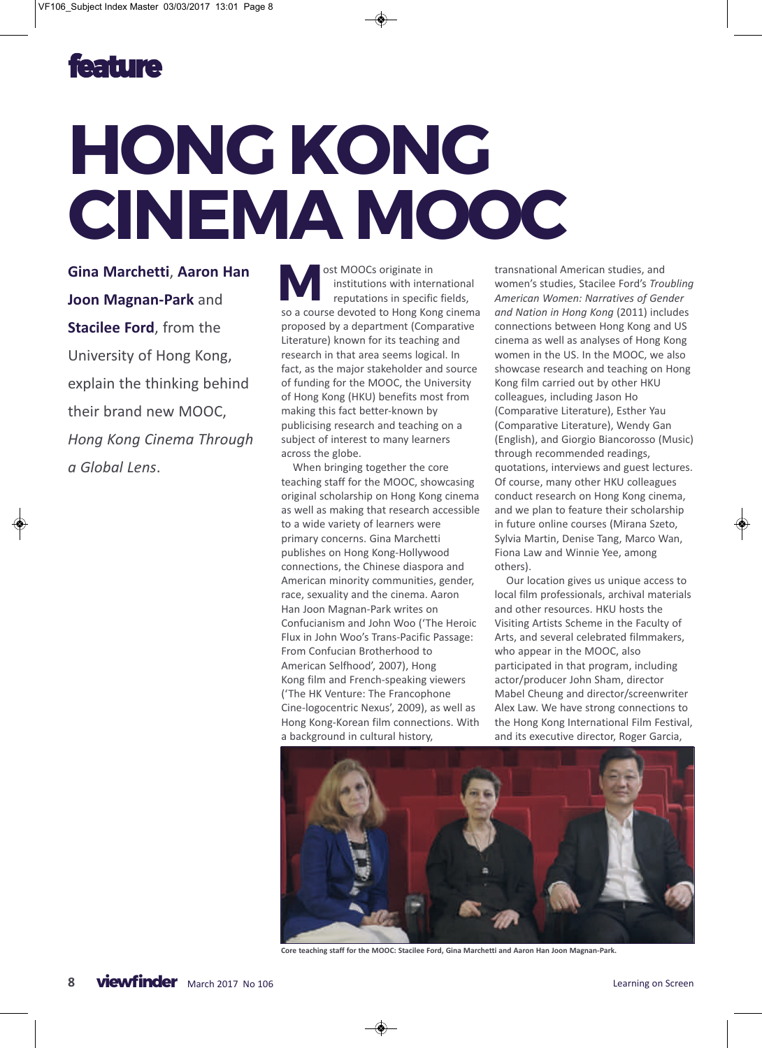

## **HONG KONG CINEMA MOOC**

**Gina Marchetti**, **Aaron Han Joon Magnan-Park** and **Stacilee Ford**, from the University of Hong Kong, explain the thinking behind their brand new MOOC, *Hong Kong Cinema Through a Global Lens*.

ost MOOCs originate in institutions with international reputations in specific fields, so a course devoted to Hong Kong cinema **M** proposed by a department (Comparative Literature) known for its teaching and research in that area seems logical. In fact, as the major stakeholder and source of funding for the MOOC, the University of Hong Kong (HKU) benefits most from making this fact better-known by publicising research and teaching on a subject of interest to many learners across the globe.

When bringing together the core teaching staff for the MOOC, showcasing original scholarship on Hong Kong cinema as well as making that research accessible to a wide variety of learners were primary concerns. Gina Marchetti publishes on Hong Kong-Hollywood connections, the Chinese diaspora and American minority communities, gender, race, sexuality and the cinema. Aaron Han Joon Magnan-Park writes on Confucianism and John Woo ('The Heroic Flux in John Woo's Trans-Pacific Passage: From Confucian Brotherhood to American Selfhood', 2007), Hong Kong film and French-speaking viewers ('The HK Venture: The Francophone Cine-logocentric Nexus', 2009), as well as Hong Kong-Korean film connections. With a background in cultural history,

transnational American studies, and women's studies, Stacilee Ford's *Troubling American Women: Narratives of Gender and Nation in Hong Kong* (2011) includes connections between Hong Kong and US cinema as well as analyses of Hong Kong women in the US. In the MOOC, we also showcase research and teaching on Hong Kong film carried out by other HKU colleagues, including Jason Ho (Comparative Literature), Esther Yau (Comparative Literature), Wendy Gan (English), and Giorgio Biancorosso (Music) through recommended readings, quotations, interviews and guest lectures. Of course, many other HKU colleagues conduct research on Hong Kong cinema, and we plan to feature their scholarship in future online courses (Mirana Szeto, Sylvia Martin, Denise Tang, Marco Wan, Fiona Law and Winnie Yee, among others).

Our location gives us unique access to local film professionals, archival materials and other resources. HKU hosts the Visiting Artists Scheme in the Faculty of Arts, and several celebrated filmmakers, who appear in the MOOC, also participated in that program, including actor/producer John Sham, director Mabel Cheung and director/screenwriter Alex Law. We have strong connections to the Hong Kong International Film Festival, and its executive director, Roger Garcia,



**Core teaching staff for the MOOC: Stacilee Ford, Gina Marchetti and Aaron Han Joon Magnan-Park.**